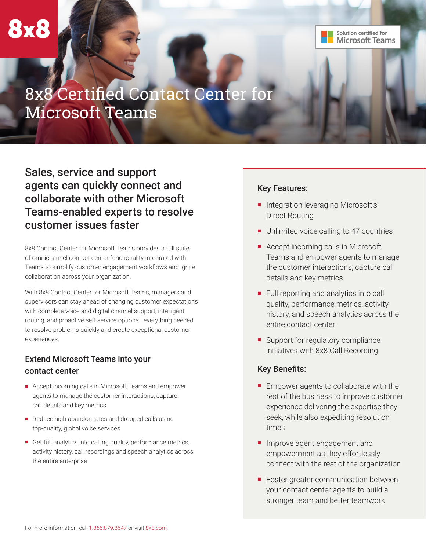Solution certified for **Microsoft Teams** 

# 8x8 Certified Contact Center for Microsoft Teams

# Sales, service and support agents can quickly connect and collaborate with other Microsoft Teams-enabled experts to resolve customer issues faster

8x8 Contact Center for Microsoft Teams provides a full suite of omnichannel contact center functionality integrated with Teams to simplify customer engagement workflows and ignite collaboration across your organization.

With 8x8 Contact Center for Microsoft Teams, managers and supervisors can stay ahead of changing customer expectations with complete voice and digital channel support, intelligent routing, and proactive self-service options—everything needed to resolve problems quickly and create exceptional customer experiences.

## Extend Microsoft Teams into your contact center

- Accept incoming calls in Microsoft Teams and empower agents to manage the customer interactions, capture call details and key metrics
- Reduce high abandon rates and dropped calls using top-quality, global voice services
- Get full analytics into calling quality, performance metrics, activity history, call recordings and speech analytics across the entire enterprise

#### Key Features:

- Integration leveraging Microsoft's Direct Routing
- Unlimited voice calling to 47 countries
- Accept incoming calls in Microsoft Teams and empower agents to manage the customer interactions, capture call details and key metrics
- Full reporting and analytics into call quality, performance metrics, activity history, and speech analytics across the entire contact center
- Support for regulatory compliance initiatives with 8x8 Call Recording

#### Key Benefits:

- Empower agents to collaborate with the rest of the business to improve customer experience delivering the expertise they seek, while also expediting resolution times
- Improve agent engagement and empowerment as they effortlessly connect with the rest of the organization
- Foster greater communication between your contact center agents to build a stronger team and better teamwork